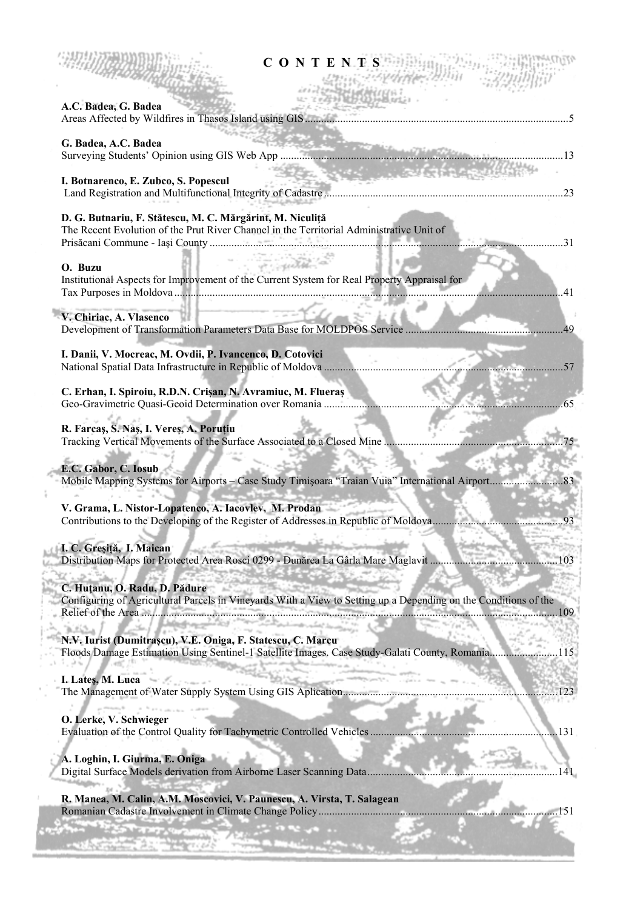| <b>CONTENTS</b>                                                                                                                                                                                        |
|--------------------------------------------------------------------------------------------------------------------------------------------------------------------------------------------------------|
| A.C. Badea, G. Badea                                                                                                                                                                                   |
| G. Badea, A.C. Badea                                                                                                                                                                                   |
| <b>CONTRACTOR</b><br>I. Botnarenco, E. Zubco, S. Popescul                                                                                                                                              |
| D. G. Butnariu, F. Stătescu, M. C. Mărgărint, M. Niculiță<br>The Recent Evolution of the Prut River Channel in the Territorial Administrative Unit of                                                  |
| or cautho<br>O. Buzu<br>Institutional Aspects for Improvement of the Current System for Real Property Appraisal for<br>.41                                                                             |
| V. Chiriac, A. Vlasenco                                                                                                                                                                                |
| I. Danii, V. Mocreac, M. Ovdii, P. Ivancenco, D. Cotovici                                                                                                                                              |
| C. Erhan, I. Spiroiu, R.D.N. Crișan, N. Avramiuc, M. Flueraș                                                                                                                                           |
| R. Farcaș, S. Naș, I. Vereș, A. Poruțiu                                                                                                                                                                |
| E.C. Gabor, C. Iosub                                                                                                                                                                                   |
| V. Grama, L. Nistor-Lopatenco, A. Iacovlev, M. Prodan                                                                                                                                                  |
| I. C. Greșiță, I. Maican<br>Distribution Maps for Protected Area Rosci 0299 - Dunărea La Gârla Mare Maglavit<br>103                                                                                    |
| C. Huțanu, O. Radu, D. Pădure<br>Configuring of Agricultural Parcels in Vineyards With a View to Setting up a Depending on the Conditions of the<br>. 109<br><u> Service Antonio (Antonio Antonio </u> |
| N.V. Iurist (Dumitrașcu), V.E. Oniga, F. Statescu, C. Marcu<br>Floods Damage Estimation Using Sentinel-1 Satellite Images. Case Study-Galati County, Romania<br>.115                                   |
| I. Lateş, M. Luca<br>1951 - January 1965<br>123                                                                                                                                                        |
| O. Lerke, V. Schwieger<br>Evaluation of the Control Quality for Tachymetric Controlled Vehicles<br>.131                                                                                                |
| A. Loghin, I. Giurma, E. Oniga<br>Digital Surface Models derivation from Airborne Laser Scanning Data                                                                                                  |
| R. Manea, M. Calin, A.M. Moscovici, V. Paunescu, A. Virsta, T. Salagean<br>. 151                                                                                                                       |